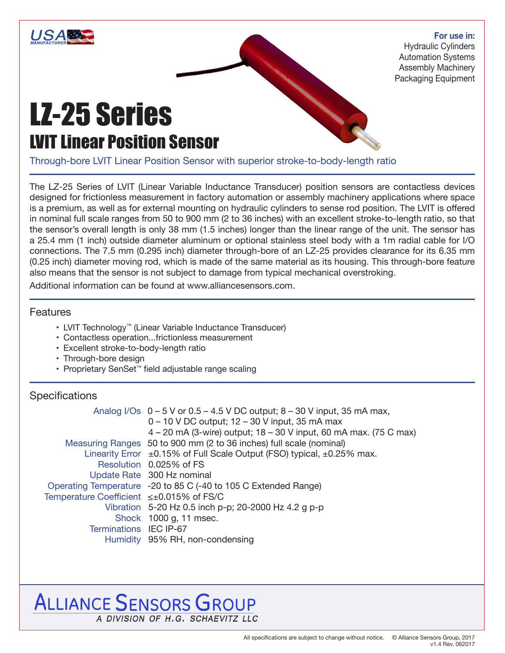

### **For use in:**

Hydraulic Cylinders Automation Systems Assembly Machinery Packaging Equipment

# LZ-25 Series LVIT Linear Position Sensor

Through-bore LVIT Linear Position Sensor with superior stroke-to-body-length ratio

The LZ-25 Series of LVIT (Linear Variable Inductance Transducer) position sensors are contactless devices designed for frictionless measurement in factory automation or assembly machinery applications where space is a premium, as well as for external mounting on hydraulic cylinders to sense rod position. The LVIT is offered in nominal full scale ranges from 50 to 900 mm (2 to 36 inches) with an excellent stroke-to-length ratio, so that the sensor's overall length is only 38 mm (1.5 inches) longer than the linear range of the unit. The sensor has a 25.4 mm (1 inch) outside diameter aluminum or optional stainless steel body with a 1m radial cable for I/O connections. The 7.5 mm (0.295 inch) diameter through-bore of an LZ-25 provides clearance for its 6.35 mm (0.25 inch) diameter moving rod, which is made of the same material as its housing. This through-bore feature also means that the sensor is not subject to damage from typical mechanical overstroking.

Additional information can be found at www.alliancesensors.com.

### Features

- LVIT Technology™ (Linear Variable Inductance Transducer)
- Contactless operation...frictionless measurement
- Excellent stroke-to-body-length ratio
- Through-bore design
- Proprietary SenSet™ field adjustable range scaling

## **Specifications**

| Analog I/Os $0 - 5$ V or $0.5 - 4.5$ V DC output; $8 - 30$ V input, 35 mA max,   |
|----------------------------------------------------------------------------------|
| 0 - 10 V DC output; 12 - 30 V input, 35 mA max                                   |
| 4 – 20 mA (3-wire) output; 18 – 30 V input, 60 mA max. (75 C max)                |
| Measuring Ranges 50 to 900 mm (2 to 36 inches) full scale (nominal)              |
| Linearity Error $\pm$ 0.15% of Full Scale Output (FSO) typical, $\pm$ 0.25% max. |
| Resolution 0.025% of FS                                                          |
| Update Rate 300 Hz nominal                                                       |
| Operating Temperature -20 to 85 C (-40 to 105 C Extended Range)                  |
| Temperature Coefficient ≤±0.015% of FS/C                                         |
| Vibration 5-20 Hz 0.5 inch p-p; 20-2000 Hz 4.2 g p-p                             |
| Shock 1000 g, 11 msec.                                                           |
| Terminations IEC IP-67                                                           |
| Humidity 95% RH, non-condensing                                                  |
|                                                                                  |

# **ALLIANCE SENSORS GROUP** A DIVISION OF H.G. SCHAEVITZ LLC